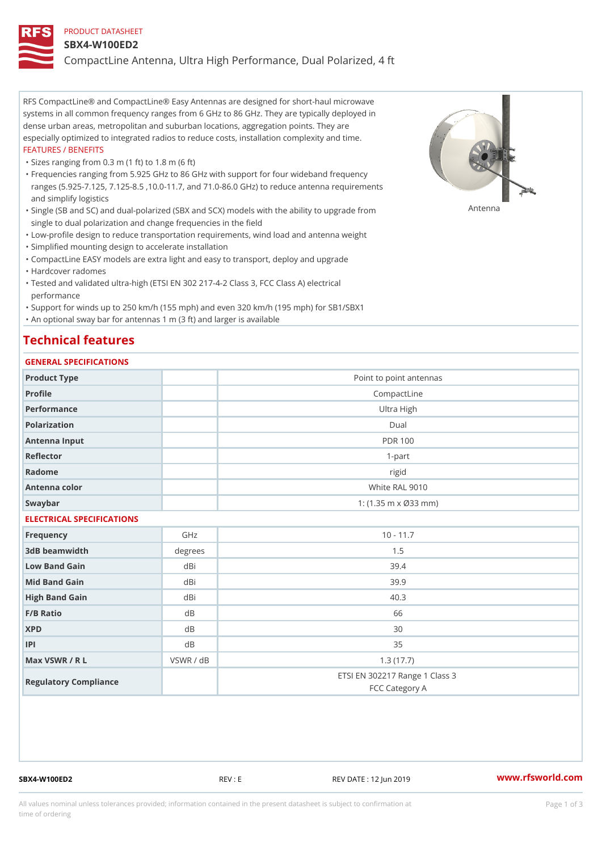### PRODUCT DATASHEET

#### SBX4-W100ED2

CompactLine Antenna, Ultra High Performance, Dual Polarized, 4 ft

RFS CompactLine® and CompactLine® Easy Antennas are designed for short-haul microwave systems in all common frequency ranges from 6 GHz to 86 GHz. They are typically deployed in dense urban areas, metropolitan and suburban locations, aggregation points. They are especially optimized to integrated radios to reduce costs, installation complexity and time. FEATURES / BENEFITS

"Sizes ranging from 0.3 m (1 ft) to 1.8 m (6 ft)

Frequencies ranging from 5.925 GHz to 86 GHz with support for four wideband frequency " ranges (5.925-7.125, 7.125-8.5 ,10.0-11.7, and 71.0-86.0 GHz) to reduce antenna requirements and simplify logistics

"Single (SB and SC) and dual-polarized (SBX and SCX) models with the abili $\mathsf{f} \gamma^{\mathsf{n}} \mathsf{t} \mathsf{B}^{\mathsf{n}} \mathsf{u} \mathsf{p} \mathsf{B}$ grade from single to dual polarization and change frequencies in the field

"Low-profile design to reduce transportation requirements, wind load and antenna weight

"Simplified mounting design to accelerate installation

 "CompactLine EASY models are extra light and easy to transport, deploy and upgrade "Hardcover radomes

Tested and validated ultra-high (ETSI EN 302 217-4-2 Class 3, FCC Class A) electrical " performance

 "Support for winds up to 250 km/h (155 mph) and even 320 km/h (195 mph) for SB1/SBX1 "An optional sway bar for antennas 1 m (3 ft) and larger is available

# Technical features

# GENERAL SPECIFICATIONS

| GENERAL SELGIFICATIONS    |           |                                                  |  |  |
|---------------------------|-----------|--------------------------------------------------|--|--|
| Product Type              |           | Point to point antennas                          |  |  |
| Profile                   |           | CompactLine                                      |  |  |
| Performance               |           | Ultra High                                       |  |  |
| Polarization              |           | $D$ ual                                          |  |  |
| Antenna Input             |           | <b>PDR 100</b>                                   |  |  |
| Reflector                 |           | $1 - p$ art                                      |  |  |
| Radome                    |           | rigid                                            |  |  |
| Antenna color             |           | White RAL 9010                                   |  |  |
| Swaybar                   |           | 1: $(1.35 \, m \times \emptyset 33 \, mm)$       |  |  |
| ELECTRICAL SPECIFICATIONS |           |                                                  |  |  |
| Frequency                 | GHz       | $10 - 11.7$                                      |  |  |
| 3dB beamwidth             | degree:   | 1.5                                              |  |  |
| Low Band Gain             | dBi       | 39.4                                             |  |  |
| Mid Band Gain             | dBi       | 39.9                                             |  |  |
| High Band Gain            | dBi       | 40.3                                             |  |  |
| F/B Ratio                 | d B       | 66                                               |  |  |
| <b>XPD</b>                | d B       | 30                                               |  |  |
| P                         | d B       | 35                                               |  |  |
| Max VSWR / R L            | VSWR / dB | 1.3(17.7)                                        |  |  |
| Regulatory Compliance     |           | ETSI EN 302217 Range 1 Class 3<br>FCC Category A |  |  |

SBX4-W100ED2 REV : E REV DATE : 12 Jun 2019 [www.](https://www.rfsworld.com)rfsworld.com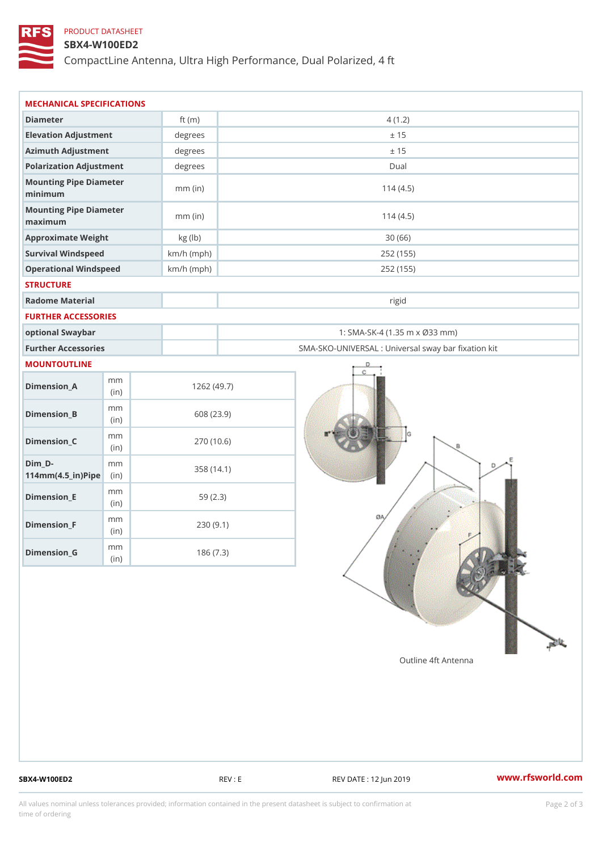# PRODUCT DATASHEET

## SBX4-W100ED2

CompactLine Antenna, Ultra High Performance, Dual Polarized, 4 ft

| MECHANICAL SPECIFICATIONS                                         |              |                                                 |  |
|-------------------------------------------------------------------|--------------|-------------------------------------------------|--|
| Diameter                                                          | ft $(m)$     | 4(1.2)                                          |  |
| Elevation Adjustment                                              | $degree$ :   | ± 15                                            |  |
| Azimuth Adjustment                                                | degrees      | ± 15                                            |  |
| Polarization Adjustment                                           | degrees      | Dual                                            |  |
| Mounting Pipe Diameter<br>minimum                                 | $mm$ (in)    | 114(4.5)                                        |  |
| Mounting Pipe Diameter<br>maximum                                 | $mm$ (in)    | 114(4.5)                                        |  |
| Approximate Weight                                                | kg (lb)      | 30(66)                                          |  |
| Survival Windspeed                                                | $km/h$ (mph) | 252 (155)                                       |  |
| Operational Windspeed                                             | $km/h$ (mph) | 252 (155)                                       |  |
| <b>STRUCTURE</b>                                                  |              |                                                 |  |
| Radome Material                                                   |              | rigid                                           |  |
| FURTHER ACCESSORIES                                               |              |                                                 |  |
| optional Swaybar                                                  |              | 1: SMA-SK-4 (1.35 m x Ø33 mm)                   |  |
| Further Accessories                                               |              | SMA-SKO-UNIVERSAL : Universal sway bar fixation |  |
| MOUNTOUTLINE                                                      |              |                                                 |  |
| m m<br>$Dimension_A$<br>(in)                                      |              | 1262(49.7)                                      |  |
| m m<br>$Dimension_B$<br>(in)                                      |              | 608 (23.9)                                      |  |
| m m<br>$Dimension_C$<br>(in)                                      |              | 270 (10.6)                                      |  |
| $Dim_D - D -$<br>m m<br>$114$ m m $(4.5$ _ ir $)$ $R$ ii p $\geq$ |              | 358 (14.1)                                      |  |
| m m<br>$Dimension$ = E<br>(in)                                    |              | 59(2.3)                                         |  |
| m m<br>$Dimension_F$<br>(in)                                      |              | 230(9.1)                                        |  |
| m m<br>$Dimen sion_G$                                             |              | 186(7.3)                                        |  |

SBX4-W100ED2 REV : E REV DATE : 12 Jun 2019 WWW.rfsworld.com

All values nominal unless tolerances provided; information contained in the present datasheet is subject to Pcapgelio an atio time of ordering